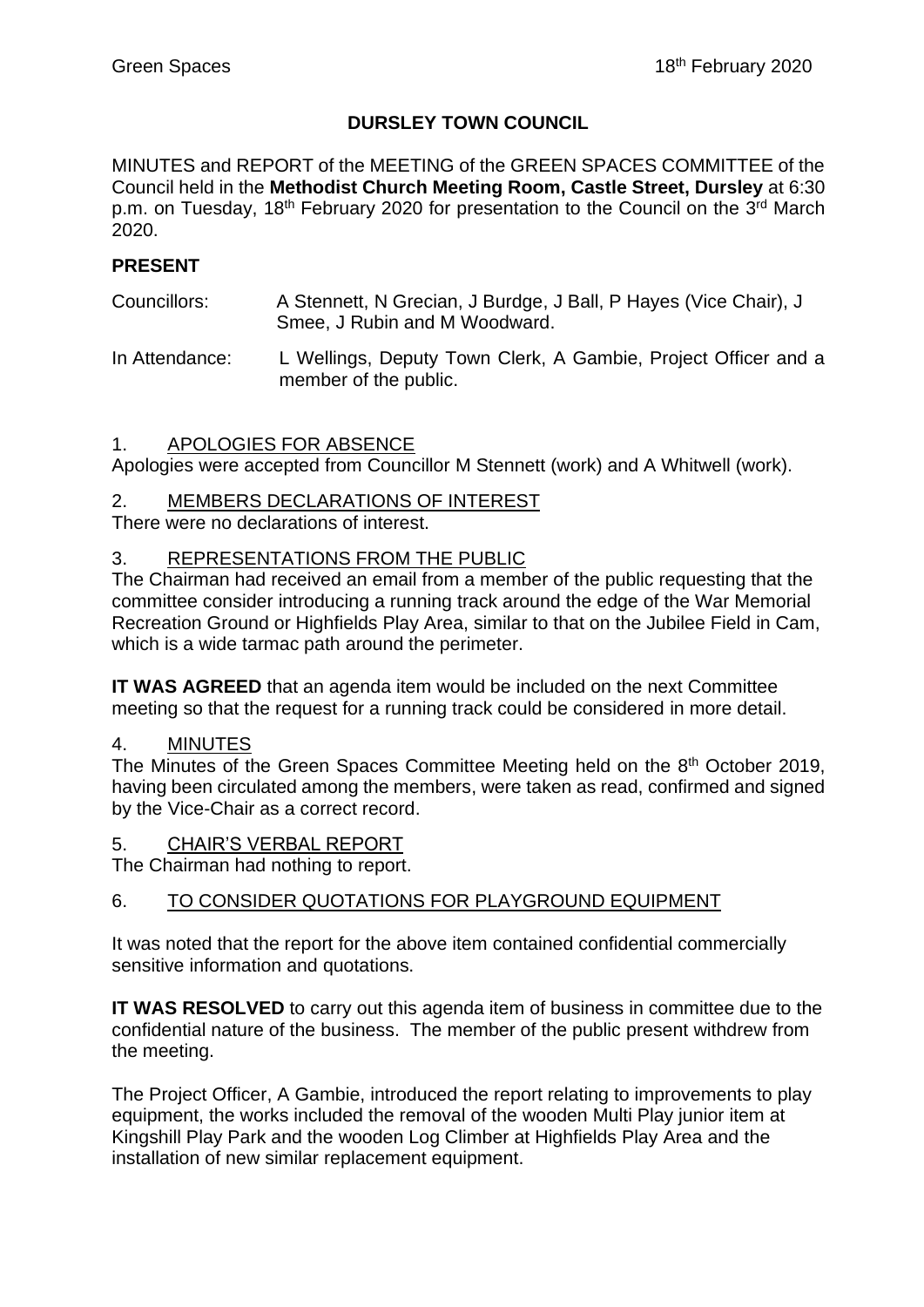# **DURSLEY TOWN COUNCIL**

MINUTES and REPORT of the MEETING of the GREEN SPACES COMMITTEE of the Council held in the **Methodist Church Meeting Room, Castle Street, Dursley** at 6:30 p.m. on Tuesday, 18<sup>th</sup> February 2020 for presentation to the Council on the 3<sup>rd</sup> March 2020.

### **PRESENT**

- Councillors: A Stennett, N Grecian, J Burdge, J Ball, P Hayes (Vice Chair), J Smee, J Rubin and M Woodward.
- In Attendance: L Wellings, Deputy Town Clerk, A Gambie, Project Officer and a member of the public.

#### 1. APOLOGIES FOR ABSENCE

Apologies were accepted from Councillor M Stennett (work) and A Whitwell (work).

#### 2. MEMBERS DECLARATIONS OF INTEREST

There were no declarations of interest.

#### 3. REPRESENTATIONS FROM THE PUBLIC

The Chairman had received an email from a member of the public requesting that the committee consider introducing a running track around the edge of the War Memorial Recreation Ground or Highfields Play Area, similar to that on the Jubilee Field in Cam, which is a wide tarmac path around the perimeter.

**IT WAS AGREED** that an agenda item would be included on the next Committee meeting so that the request for a running track could be considered in more detail.

#### 4. MINUTES

The Minutes of the Green Spaces Committee Meeting held on the 8<sup>th</sup> October 2019, having been circulated among the members, were taken as read, confirmed and signed by the Vice-Chair as a correct record.

5. CHAIR'S VERBAL REPORT

The Chairman had nothing to report.

#### 6. TO CONSIDER QUOTATIONS FOR PLAYGROUND EQUIPMENT

It was noted that the report for the above item contained confidential commercially sensitive information and quotations.

**IT WAS RESOLVED** to carry out this agenda item of business in committee due to the confidential nature of the business. The member of the public present withdrew from the meeting.

The Project Officer, A Gambie, introduced the report relating to improvements to play equipment, the works included the removal of the wooden Multi Play junior item at Kingshill Play Park and the wooden Log Climber at Highfields Play Area and the installation of new similar replacement equipment.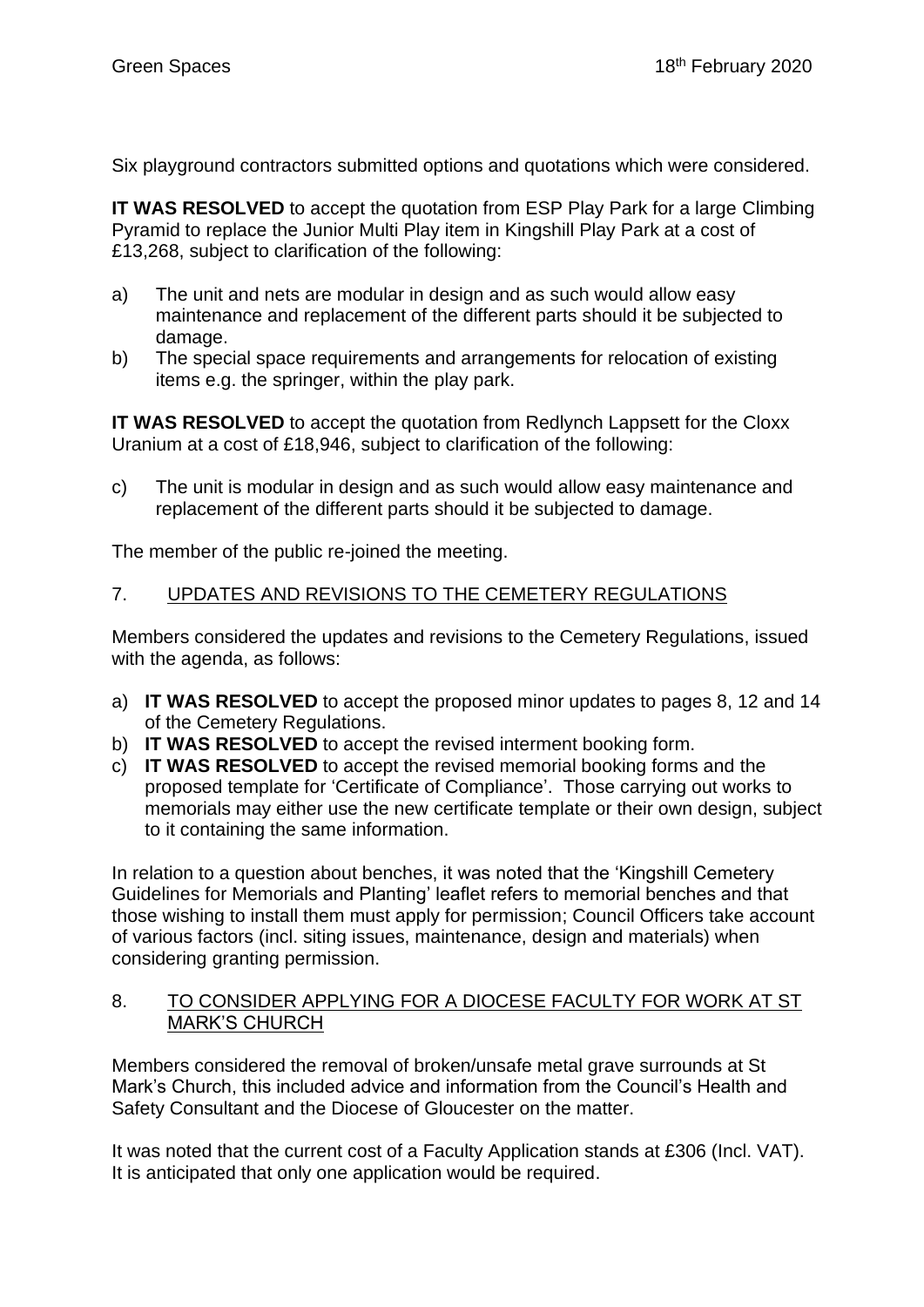Six playground contractors submitted options and quotations which were considered.

**IT WAS RESOLVED** to accept the quotation from ESP Play Park for a large Climbing Pyramid to replace the Junior Multi Play item in Kingshill Play Park at a cost of £13,268, subject to clarification of the following:

- a) The unit and nets are modular in design and as such would allow easy maintenance and replacement of the different parts should it be subjected to damage.
- b) The special space requirements and arrangements for relocation of existing items e.g. the springer, within the play park.

**IT WAS RESOLVED** to accept the quotation from Redlynch Lappsett for the Cloxx Uranium at a cost of £18,946, subject to clarification of the following:

c) The unit is modular in design and as such would allow easy maintenance and replacement of the different parts should it be subjected to damage.

The member of the public re-joined the meeting.

# 7. UPDATES AND REVISIONS TO THE CEMETERY REGULATIONS

Members considered the updates and revisions to the Cemetery Regulations, issued with the agenda, as follows:

- a) **IT WAS RESOLVED** to accept the proposed minor updates to pages 8, 12 and 14 of the Cemetery Regulations.
- b) **IT WAS RESOLVED** to accept the revised interment booking form.
- c) **IT WAS RESOLVED** to accept the revised memorial booking forms and the proposed template for 'Certificate of Compliance'. Those carrying out works to memorials may either use the new certificate template or their own design, subject to it containing the same information.

In relation to a question about benches, it was noted that the 'Kingshill Cemetery Guidelines for Memorials and Planting' leaflet refers to memorial benches and that those wishing to install them must apply for permission; Council Officers take account of various factors (incl. siting issues, maintenance, design and materials) when considering granting permission.

#### 8. TO CONSIDER APPLYING FOR A DIOCESE FACULTY FOR WORK AT ST MARK'S CHURCH

Members considered the removal of broken/unsafe metal grave surrounds at St Mark's Church, this included advice and information from the Council's Health and Safety Consultant and the Diocese of Gloucester on the matter.

It was noted that the current cost of a Faculty Application stands at £306 (Incl. VAT). It is anticipated that only one application would be required.